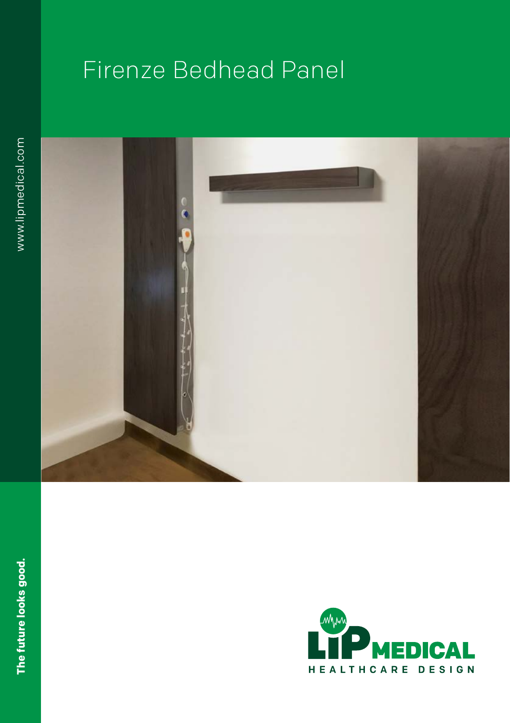# Firenze Bedhead Panel